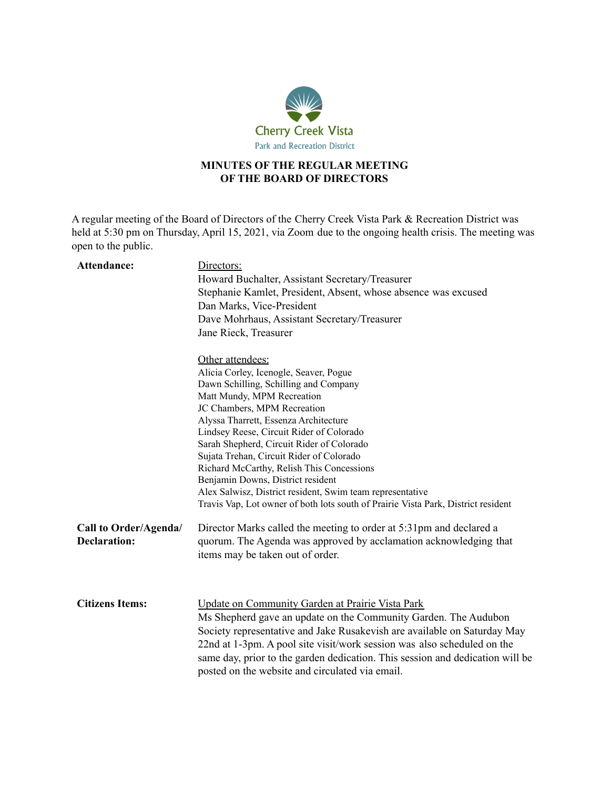

## **MINUTES OF THE REGULAR MEETING OF THE BOARD OF DIRECTORS**

A regular meeting of the Board of Directors of the Cherry Creek Vista Park & Recreation District was held at 5:30 pm on Thursday, April 15, 2021, via Zoom due to the ongoing health crisis. The meeting was open to the public.

| Attendance:                                  | Directors:<br>Howard Buchalter, Assistant Secretary/Treasurer<br>Stephanie Kamlet, President, Absent, whose absence was excused<br>Dan Marks, Vice-President<br>Dave Mohrhaus, Assistant Secretary/Treasurer<br>Jane Rieck, Treasurer                                                                                                                                                                          |
|----------------------------------------------|----------------------------------------------------------------------------------------------------------------------------------------------------------------------------------------------------------------------------------------------------------------------------------------------------------------------------------------------------------------------------------------------------------------|
|                                              | Other attendees:<br>Alicia Corley, Icenogle, Seaver, Pogue<br>Dawn Schilling, Schilling and Company<br>Matt Mundy, MPM Recreation<br>JC Chambers, MPM Recreation<br>Alyssa Tharrett, Essenza Architecture                                                                                                                                                                                                      |
|                                              | Lindsey Reese, Circuit Rider of Colorado<br>Sarah Shepherd, Circuit Rider of Colorado<br>Sujata Trehan, Circuit Rider of Colorado<br>Richard McCarthy, Relish This Concessions<br>Benjamin Downs, District resident<br>Alex Salwisz, District resident, Swim team representative<br>Travis Vap, Lot owner of both lots south of Prairie Vista Park, District resident                                          |
| Call to Order/Agenda/<br><b>Declaration:</b> | Director Marks called the meeting to order at 5:31pm and declared a<br>quorum. The Agenda was approved by acclamation acknowledging that<br>items may be taken out of order.                                                                                                                                                                                                                                   |
| <b>Citizens Items:</b>                       | Update on Community Garden at Prairie Vista Park<br>Ms Shepherd gave an update on the Community Garden. The Audubon<br>Society representative and Jake Rusakevish are available on Saturday May<br>22nd at 1-3pm. A pool site visit/work session was also scheduled on the<br>same day, prior to the garden dedication. This session and dedication will be<br>posted on the website and circulated via email. |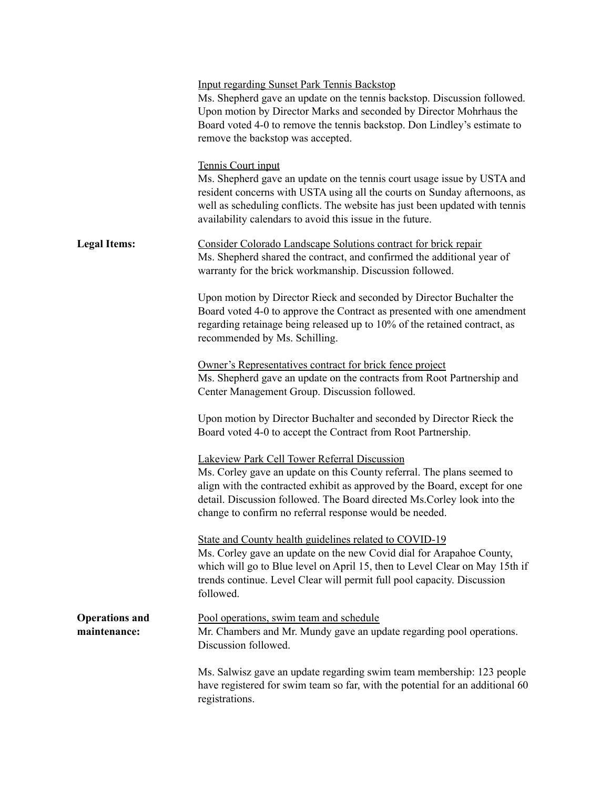|                                       | <b>Input regarding Sunset Park Tennis Backstop</b><br>Ms. Shepherd gave an update on the tennis backstop. Discussion followed.<br>Upon motion by Director Marks and seconded by Director Mohrhaus the<br>Board voted 4-0 to remove the tennis backstop. Don Lindley's estimate to<br>remove the backstop was accepted.                      |
|---------------------------------------|---------------------------------------------------------------------------------------------------------------------------------------------------------------------------------------------------------------------------------------------------------------------------------------------------------------------------------------------|
|                                       | Tennis Court input<br>Ms. Shepherd gave an update on the tennis court usage issue by USTA and<br>resident concerns with USTA using all the courts on Sunday afternoons, as<br>well as scheduling conflicts. The website has just been updated with tennis<br>availability calendars to avoid this issue in the future.                      |
| <b>Legal Items:</b>                   | Consider Colorado Landscape Solutions contract for brick repair<br>Ms. Shepherd shared the contract, and confirmed the additional year of<br>warranty for the brick workmanship. Discussion followed.                                                                                                                                       |
|                                       | Upon motion by Director Rieck and seconded by Director Buchalter the<br>Board voted 4-0 to approve the Contract as presented with one amendment<br>regarding retainage being released up to 10% of the retained contract, as<br>recommended by Ms. Schilling.                                                                               |
|                                       | Owner's Representatives contract for brick fence project<br>Ms. Shepherd gave an update on the contracts from Root Partnership and<br>Center Management Group. Discussion followed.                                                                                                                                                         |
|                                       | Upon motion by Director Buchalter and seconded by Director Rieck the<br>Board voted 4-0 to accept the Contract from Root Partnership.                                                                                                                                                                                                       |
|                                       | Lakeview Park Cell Tower Referral Discussion<br>Ms. Corley gave an update on this County referral. The plans seemed to<br>align with the contracted exhibit as approved by the Board, except for one<br>detail. Discussion followed. The Board directed Ms. Corley look into the<br>change to confirm no referral response would be needed. |
|                                       | State and County health guidelines related to COVID-19<br>Ms. Corley gave an update on the new Covid dial for Arapahoe County,<br>which will go to Blue level on April 15, then to Level Clear on May 15th if<br>trends continue. Level Clear will permit full pool capacity. Discussion<br>followed.                                       |
| <b>Operations and</b><br>maintenance: | Pool operations, swim team and schedule<br>Mr. Chambers and Mr. Mundy gave an update regarding pool operations.<br>Discussion followed.                                                                                                                                                                                                     |
|                                       | Ms. Salwisz gave an update regarding swim team membership: 123 people<br>have registered for swim team so far, with the potential for an additional 60<br>registrations.                                                                                                                                                                    |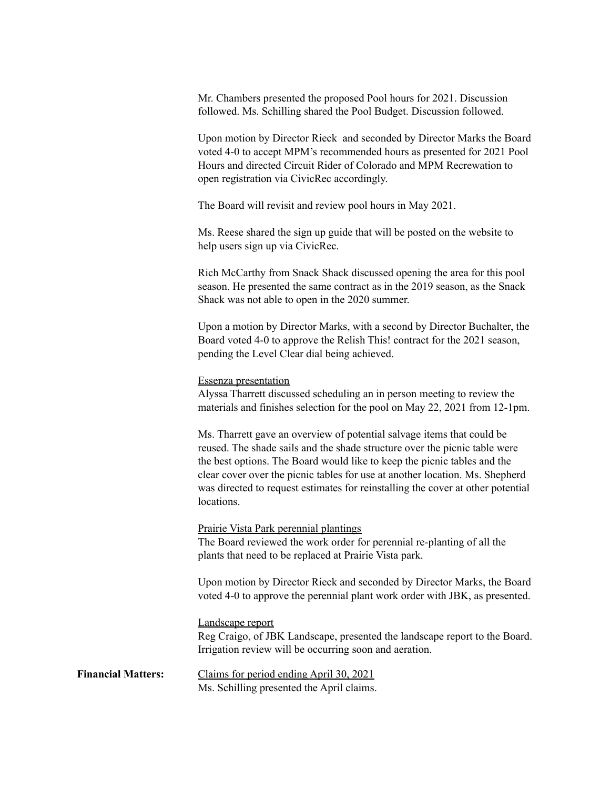Mr. Chambers presented the proposed Pool hours for 2021. Discussion followed. Ms. Schilling shared the Pool Budget. Discussion followed.

Upon motion by Director Rieck and seconded by Director Marks the Board voted 4-0 to accept MPM's recommended hours as presented for 2021 Pool Hours and directed Circuit Rider of Colorado and MPM Recrewation to open registration via CivicRec accordingly.

The Board will revisit and review pool hours in May 2021.

Ms. Reese shared the sign up guide that will be posted on the website to help users sign up via CivicRec.

Rich McCarthy from Snack Shack discussed opening the area for this pool season. He presented the same contract as in the 2019 season, as the Snack Shack was not able to open in the 2020 summer.

Upon a motion by Director Marks, with a second by Director Buchalter, the Board voted 4-0 to approve the Relish This! contract for the 2021 season, pending the Level Clear dial being achieved.

## Essenza presentation

Alyssa Tharrett discussed scheduling an in person meeting to review the materials and finishes selection for the pool on May 22, 2021 from 12-1pm.

Ms. Tharrett gave an overview of potential salvage items that could be reused. The shade sails and the shade structure over the picnic table were the best options. The Board would like to keep the picnic tables and the clear cover over the picnic tables for use at another location. Ms. Shepherd was directed to request estimates for reinstalling the cover at other potential locations.

Prairie Vista Park perennial plantings The Board reviewed the work order for perennial re-planting of all the plants that need to be replaced at Prairie Vista park.

Upon motion by Director Rieck and seconded by Director Marks, the Board voted 4-0 to approve the perennial plant work order with JBK, as presented.

## Landscape report

Reg Craigo, of JBK Landscape, presented the landscape report to the Board. Irrigation review will be occurring soon and aeration.

**Financial Matters:** Claims for period ending April 30, 2021 Ms. Schilling presented the April claims.